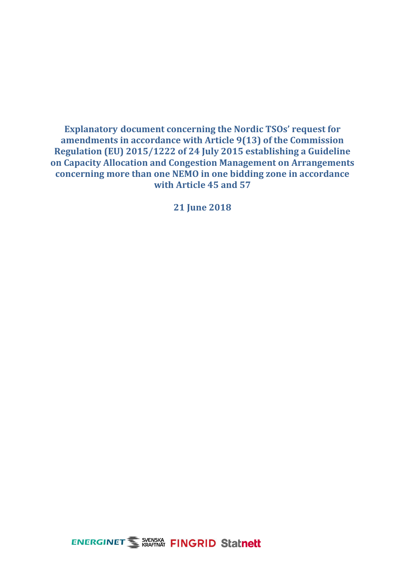**Explanatory document concerning the Nordic TSOs' request for amendments in accordance with Article 9(13) of the Commission Regulation (EU) 2015/1222 of 24 July 2015 establishing a Guideline on Capacity Allocation and Congestion Management on Arrangements concerning more than one NEMO in one bidding zone in accordance with Article 45 and 57**

**21 June 2018**

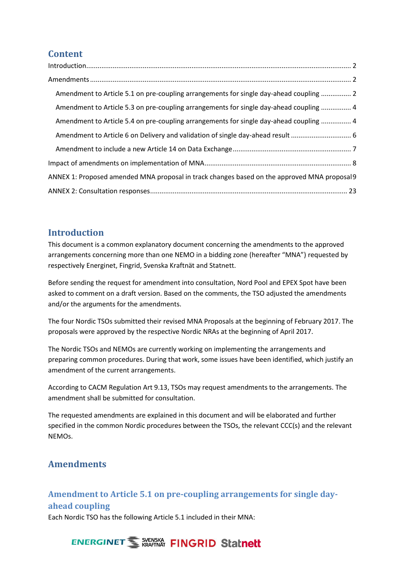## **Content**

| Amendment to Article 5.1 on pre-coupling arrangements for single day-ahead coupling  2       |
|----------------------------------------------------------------------------------------------|
| Amendment to Article 5.3 on pre-coupling arrangements for single day-ahead coupling  4       |
| Amendment to Article 5.4 on pre-coupling arrangements for single day-ahead coupling  4       |
| Amendment to Article 6 on Delivery and validation of single day-ahead result  6              |
|                                                                                              |
|                                                                                              |
| ANNEX 1: Proposed amended MNA proposal in track changes based on the approved MNA proposal 9 |
|                                                                                              |

### <span id="page-1-0"></span>**Introduction**

This document is a common explanatory document concerning the amendments to the approved arrangements concerning more than one NEMO in a bidding zone (hereafter "MNA") requested by respectively Energinet, Fingrid, Svenska Kraftnät and Statnett.

Before sending the request for amendment into consultation, Nord Pool and EPEX Spot have been asked to comment on a draft version. Based on the comments, the TSO adjusted the amendments and/or the arguments for the amendments.

The four Nordic TSOs submitted their revised MNA Proposals at the beginning of February 2017. The proposals were approved by the respective Nordic NRAs at the beginning of April 2017.

The Nordic TSOs and NEMOs are currently working on implementing the arrangements and preparing common procedures. During that work, some issues have been identified, which justify an amendment of the current arrangements.

According to CACM Regulation Art 9.13, TSOs may request amendments to the arrangements. The amendment shall be submitted for consultation.

The requested amendments are explained in this document and will be elaborated and further specified in the common Nordic procedures between the TSOs, the relevant CCC(s) and the relevant NEMOs.

### <span id="page-1-1"></span>**Amendments**

## <span id="page-1-2"></span>**Amendment to Article 5.1 on pre-coupling arrangements for single dayahead coupling**

Each Nordic TSO has the following Article 5.1 included in their MNA:

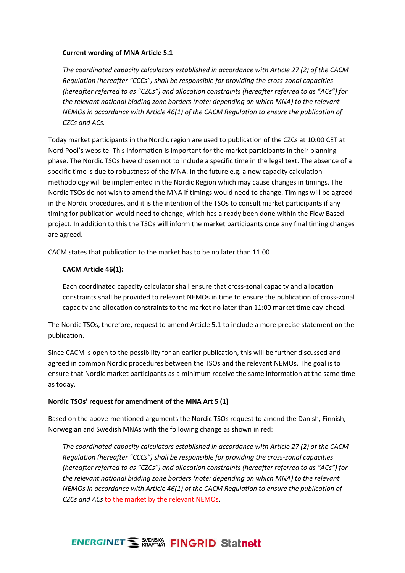### **Current wording of MNA Article 5.1**

*The coordinated capacity calculators established in accordance with Article 27 (2) of the CACM Regulation (hereafter "CCCs") shall be responsible for providing the cross-zonal capacities (hereafter referred to as "CZCs") and allocation constraints (hereafter referred to as "ACs") for the relevant national bidding zone borders (note: depending on which MNA) to the relevant NEMOs in accordance with Article 46(1) of the CACM Regulation to ensure the publication of CZCs and ACs.* 

Today market participants in the Nordic region are used to publication of the CZCs at 10:00 CET at Nord Pool's website. This information is important for the market participants in their planning phase. The Nordic TSOs have chosen not to include a specific time in the legal text. The absence of a specific time is due to robustness of the MNA. In the future e.g. a new capacity calculation methodology will be implemented in the Nordic Region which may cause changes in timings. The Nordic TSOs do not wish to amend the MNA if timings would need to change. Timings will be agreed in the Nordic procedures, and it is the intention of the TSOs to consult market participants if any timing for publication would need to change, which has already been done within the Flow Based project. In addition to this the TSOs will inform the market participants once any final timing changes are agreed.

CACM states that publication to the market has to be no later than 11:00

### **CACM Article 46(1):**

Each coordinated capacity calculator shall ensure that cross-zonal capacity and allocation constraints shall be provided to relevant NEMOs in time to ensure the publication of cross-zonal capacity and allocation constraints to the market no later than 11:00 market time day-ahead.

The Nordic TSOs, therefore, request to amend Article 5.1 to include a more precise statement on the publication.

Since CACM is open to the possibility for an earlier publication, this will be further discussed and agreed in common Nordic procedures between the TSOs and the relevant NEMOs. The goal is to ensure that Nordic market participants as a minimum receive the same information at the same time as today.

#### **Nordic TSOs' request for amendment of the MNA Art 5 (1)**

Based on the above-mentioned arguments the Nordic TSOs request to amend the Danish, Finnish, Norwegian and Swedish MNAs with the following change as shown in red:

*The coordinated capacity calculators established in accordance with Article 27 (2) of the CACM Regulation (hereafter "CCCs") shall be responsible for providing the cross-zonal capacities (hereafter referred to as "CZCs") and allocation constraints (hereafter referred to as "ACs") for the relevant national bidding zone borders (note: depending on which MNA) to the relevant NEMOs in accordance with Article 46(1) of the CACM Regulation to ensure the publication of CZCs and ACs* to the market by the relevant NEMOs.

## **ENERGINET WERKSHIP FINGRID Statnett**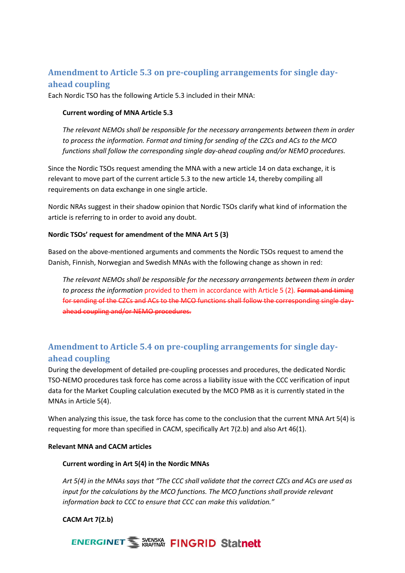### <span id="page-3-0"></span>**Amendment to Article 5.3 on pre-coupling arrangements for single dayahead coupling**

Each Nordic TSO has the following Article 5.3 included in their MNA:

### **Current wording of MNA Article 5.3**

*The relevant NEMOs shall be responsible for the necessary arrangements between them in order to process the information. Format and timing for sending of the CZCs and ACs to the MCO functions shall follow the corresponding single day-ahead coupling and/or NEMO procedures.*

Since the Nordic TSOs request amending the MNA with a new article 14 on data exchange, it is relevant to move part of the current article 5.3 to the new article 14, thereby compiling all requirements on data exchange in one single article.

Nordic NRAs suggest in their shadow opinion that Nordic TSOs clarify what kind of information the article is referring to in order to avoid any doubt.

### **Nordic TSOs' request for amendment of the MNA Art 5 (3)**

Based on the above-mentioned arguments and comments the Nordic TSOs request to amend the Danish, Finnish, Norwegian and Swedish MNAs with the following change as shown in red:

*The relevant NEMOs shall be responsible for the necessary arrangements between them in order to process the information* provided to them in accordance with Article 5 (2). Format and timing for sending of the CZCs and ACs to the MCO functions shall follow the corresponding single dayahead coupling and/or NEMO procedures.

## <span id="page-3-1"></span>**Amendment to Article 5.4 on pre-coupling arrangements for single dayahead coupling**

During the development of detailed pre-coupling processes and procedures, the dedicated Nordic TSO-NEMO procedures task force has come across a liability issue with the CCC verification of input data for the Market Coupling calculation executed by the MCO PMB as it is currently stated in the MNAs in Article 5(4).

When analyzing this issue, the task force has come to the conclusion that the current MNA Art 5(4) is requesting for more than specified in CACM, specifically Art 7(2.b) and also Art 46(1).

### **Relevant MNA and CACM articles**

### **Current wording in Art 5(4) in the Nordic MNAs**

*Art 5(4) in the MNAs says that "The CCC shall validate that the correct CZCs and ACs are used as*  input for the calculations by the MCO functions. The MCO functions shall provide relevant *information back to CCC to ensure that CCC can make this validation."*

### **CACM Art 7(2.b)**

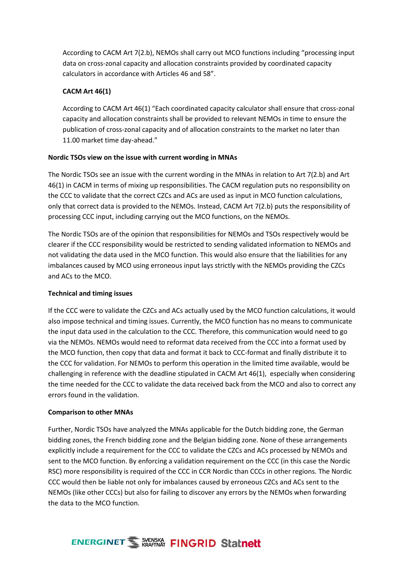According to CACM Art 7(2.b), NEMOs shall carry out MCO functions including "processing input data on cross-zonal capacity and allocation constraints provided by coordinated capacity calculators in accordance with Articles 46 and 58".

### **CACM Art 46(1)**

According to CACM Art 46(1) "Each coordinated capacity calculator shall ensure that cross-zonal capacity and allocation constraints shall be provided to relevant NEMOs in time to ensure the publication of cross-zonal capacity and of allocation constraints to the market no later than 11.00 market time day-ahead."

### **Nordic TSOs view on the issue with current wording in MNAs**

The Nordic TSOs see an issue with the current wording in the MNAs in relation to Art 7(2.b) and Art 46(1) in CACM in terms of mixing up responsibilities. The CACM regulation puts no responsibility on the CCC to validate that the correct CZCs and ACs are used as input in MCO function calculations, only that correct data is provided to the NEMOs. Instead, CACM Art 7(2.b) puts the responsibility of processing CCC input, including carrying out the MCO functions, on the NEMOs.

The Nordic TSOs are of the opinion that responsibilities for NEMOs and TSOs respectively would be clearer if the CCC responsibility would be restricted to sending validated information to NEMOs and not validating the data used in the MCO function. This would also ensure that the liabilities for any imbalances caused by MCO using erroneous input lays strictly with the NEMOs providing the CZCs and ACs to the MCO.

### **Technical and timing issues**

If the CCC were to validate the CZCs and ACs actually used by the MCO function calculations, it would also impose technical and timing issues. Currently, the MCO function has no means to communicate the input data used in the calculation to the CCC. Therefore, this communication would need to go via the NEMOs. NEMOs would need to reformat data received from the CCC into a format used by the MCO function, then copy that data and format it back to CCC-format and finally distribute it to the CCC for validation. For NEMOs to perform this operation in the limited time available, would be challenging in reference with the deadline stipulated in CACM Art 46(1), especially when considering the time needed for the CCC to validate the data received back from the MCO and also to correct any errors found in the validation.

### **Comparison to other MNAs**

Further, Nordic TSOs have analyzed the MNAs applicable for the Dutch bidding zone, the German bidding zones, the French bidding zone and the Belgian bidding zone. None of these arrangements explicitly include a requirement for the CCC to validate the CZCs and ACs processed by NEMOs and sent to the MCO function. By enforcing a validation requirement on the CCC (in this case the Nordic RSC) more responsibility is required of the CCC in CCR Nordic than CCCs in other regions. The Nordic CCC would then be liable not only for imbalances caused by erroneous CZCs and ACs sent to the NEMOs (like other CCCs) but also for failing to discover any errors by the NEMOs when forwarding the data to the MCO function.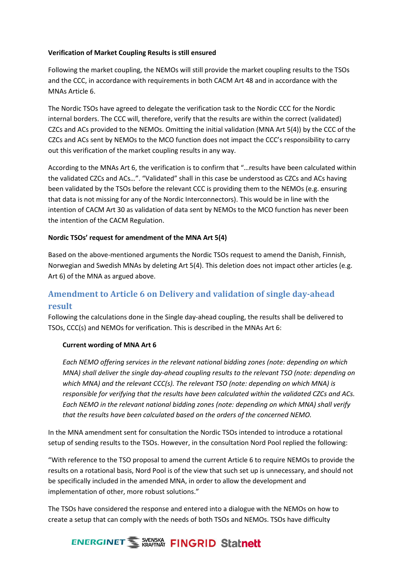### **Verification of Market Coupling Results is still ensured**

Following the market coupling, the NEMOs will still provide the market coupling results to the TSOs and the CCC, in accordance with requirements in both CACM Art 48 and in accordance with the MNAs Article 6.

The Nordic TSOs have agreed to delegate the verification task to the Nordic CCC for the Nordic internal borders. The CCC will, therefore, verify that the results are within the correct (validated) CZCs and ACs provided to the NEMOs. Omitting the initial validation (MNA Art 5(4)) by the CCC of the CZCs and ACs sent by NEMOs to the MCO function does not impact the CCC's responsibility to carry out this verification of the market coupling results in any way.

According to the MNAs Art 6, the verification is to confirm that "…results have been calculated within the validated CZCs and ACs…". "Validated" shall in this case be understood as CZCs and ACs having been validated by the TSOs before the relevant CCC is providing them to the NEMOs (e.g. ensuring that data is not missing for any of the Nordic Interconnectors). This would be in line with the intention of CACM Art 30 as validation of data sent by NEMOs to the MCO function has never been the intention of the CACM Regulation.

### **Nordic TSOs' request for amendment of the MNA Art 5(4)**

Based on the above-mentioned arguments the Nordic TSOs request to amend the Danish, Finnish, Norwegian and Swedish MNAs by deleting Art 5(4). This deletion does not impact other articles (e.g. Art 6) of the MNA as argued above.

## <span id="page-5-0"></span>**Amendment to Article 6 on Delivery and validation of single day-ahead result**

Following the calculations done in the Single day-ahead coupling, the results shall be delivered to TSOs, CCC(s) and NEMOs for verification. This is described in the MNAs Art 6:

### **Current wording of MNA Art 6**

*Each NEMO offering services in the relevant national bidding zones (note: depending on which MNA) shall deliver the single day-ahead coupling results to the relevant TSO (note: depending on which MNA) and the relevant CCC(s). The relevant TSO (note: depending on which MNA) is responsible for verifying that the results have been calculated within the validated CZCs and ACs. Each NEMO in the relevant national bidding zones (note: depending on which MNA) shall verify that the results have been calculated based on the orders of the concerned NEMO.*

In the MNA amendment sent for consultation the Nordic TSOs intended to introduce a rotational setup of sending results to the TSOs. However, in the consultation Nord Pool replied the following:

"With reference to the TSO proposal to amend the current Article 6 to require NEMOs to provide the results on a rotational basis, Nord Pool is of the view that such set up is unnecessary, and should not be specifically included in the amended MNA, in order to allow the development and implementation of other, more robust solutions."

The TSOs have considered the response and entered into a dialogue with the NEMOs on how to create a setup that can comply with the needs of both TSOs and NEMOs. TSOs have difficulty

# **ENERGINET WEARY FINGRID Statnett**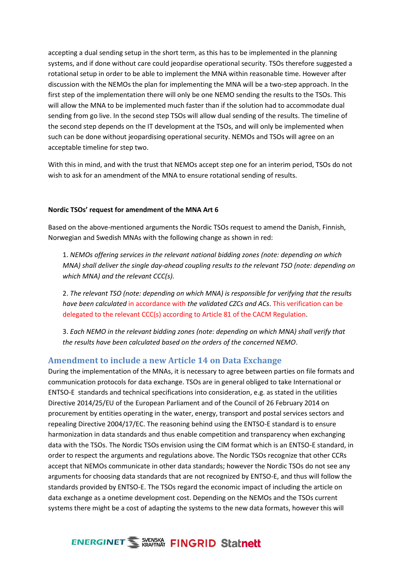accepting a dual sending setup in the short term, as this has to be implemented in the planning systems, and if done without care could jeopardise operational security. TSOs therefore suggested a rotational setup in order to be able to implement the MNA within reasonable time. However after discussion with the NEMOs the plan for implementing the MNA will be a two-step approach. In the first step of the implementation there will only be one NEMO sending the results to the TSOs. This will allow the MNA to be implemented much faster than if the solution had to accommodate dual sending from go live. In the second step TSOs will allow dual sending of the results. The timeline of the second step depends on the IT development at the TSOs, and will only be implemented when such can be done without jeopardising operational security. NEMOs and TSOs will agree on an acceptable timeline for step two.

With this in mind, and with the trust that NEMOs accept step one for an interim period, TSOs do not wish to ask for an amendment of the MNA to ensure rotational sending of results.

### **Nordic TSOs' request for amendment of the MNA Art 6**

Based on the above-mentioned arguments the Nordic TSOs request to amend the Danish, Finnish, Norwegian and Swedish MNAs with the following change as shown in red:

1. *NEMOs offering services in the relevant national bidding zones (note: depending on which MNA) shall deliver the single day-ahead coupling results to the relevant TSO (note: depending on which MNA) and the relevant CCC(s).*

2. *The relevant TSO (note: depending on which MNA) is responsible for verifying that the results have been calculated* in accordance with *the validated CZCs and ACs*. This verification can be delegated to the relevant CCC(s) according to Article 81 of the CACM Regulation.

3. *Each NEMO in the relevant bidding zones (note: depending on which MNA) shall verify that the results have been calculated based on the orders of the concerned NEMO*.

### <span id="page-6-0"></span>**Amendment to include a new Article 14 on Data Exchange**

During the implementation of the MNAs, it is necessary to agree between parties on file formats and communication protocols for data exchange. TSOs are in general obliged to take International or ENTSO-E standards and technical specifications into consideration, e.g. as stated in the utilities Directive 2014/25/EU of the European Parliament and of the Council of 26 February 2014 on procurement by entities operating in the water, energy, transport and postal services sectors and repealing Directive 2004/17/EC. The reasoning behind using the ENTSO-E standard is to ensure harmonization in data standards and thus enable competition and transparency when exchanging data with the TSOs. The Nordic TSOs envision using the CIM format which is an ENTSO-E standard, in order to respect the arguments and regulations above. The Nordic TSOs recognize that other CCRs accept that NEMOs communicate in other data standards; however the Nordic TSOs do not see any arguments for choosing data standards that are not recognized by ENTSO-E, and thus will follow the standards provided by ENTSO-E. The TSOs regard the economic impact of including the article on data exchange as a onetime development cost. Depending on the NEMOs and the TSOs current systems there might be a cost of adapting the systems to the new data formats, however this will

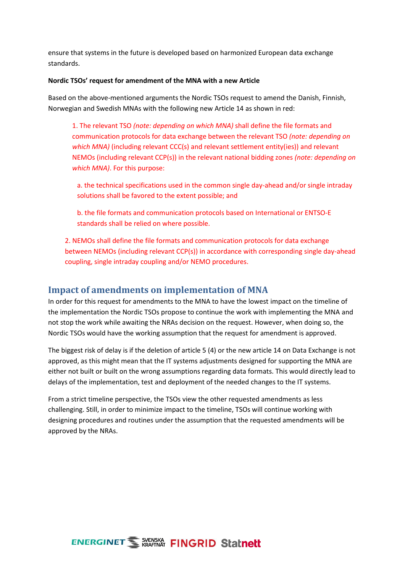ensure that systems in the future is developed based on harmonized European data exchange standards.

#### **Nordic TSOs' request for amendment of the MNA with a new Article**

Based on the above-mentioned arguments the Nordic TSOs request to amend the Danish, Finnish, Norwegian and Swedish MNAs with the following new Article 14 as shown in red:

1. The relevant TSO *(note: depending on which MNA)* shall define the file formats and communication protocols for data exchange between the relevant TSO *(note: depending on which MNA*) (including relevant CCC(s) and relevant settlement entity(ies)) and relevant NEMOs (including relevant CCP(s)) in the relevant national bidding zones *(note: depending on which MNA)*. For this purpose:

a. the technical specifications used in the common single day-ahead and/or single intraday solutions shall be favored to the extent possible; and

b. the file formats and communication protocols based on International or ENTSO-E standards shall be relied on where possible.

2. NEMOs shall define the file formats and communication protocols for data exchange between NEMOs (including relevant CCP(s)) in accordance with corresponding single day-ahead coupling, single intraday coupling and/or NEMO procedures.

### <span id="page-7-0"></span>**Impact of amendments on implementation of MNA**

In order for this request for amendments to the MNA to have the lowest impact on the timeline of the implementation the Nordic TSOs propose to continue the work with implementing the MNA and not stop the work while awaiting the NRAs decision on the request. However, when doing so, the Nordic TSOs would have the working assumption that the request for amendment is approved.

The biggest risk of delay is if the deletion of article 5 (4) or the new article 14 on Data Exchange is not approved, as this might mean that the IT systems adjustments designed for supporting the MNA are either not built or built on the wrong assumptions regarding data formats. This would directly lead to delays of the implementation, test and deployment of the needed changes to the IT systems.

From a strict timeline perspective, the TSOs view the other requested amendments as less challenging. Still, in order to minimize impact to the timeline, TSOs will continue working with designing procedures and routines under the assumption that the requested amendments will be approved by the NRAs.

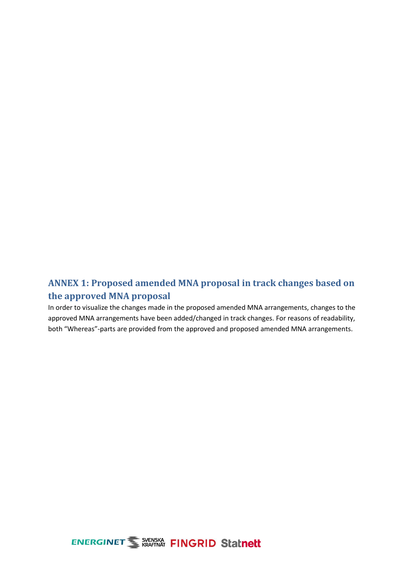## <span id="page-8-0"></span>**ANNEX 1: Proposed amended MNA proposal in track changes based on the approved MNA proposal**

In order to visualize the changes made in the proposed amended MNA arrangements, changes to the approved MNA arrangements have been added/changed in track changes. For reasons of readability, both "Whereas"-parts are provided from the approved and proposed amended MNA arrangements.

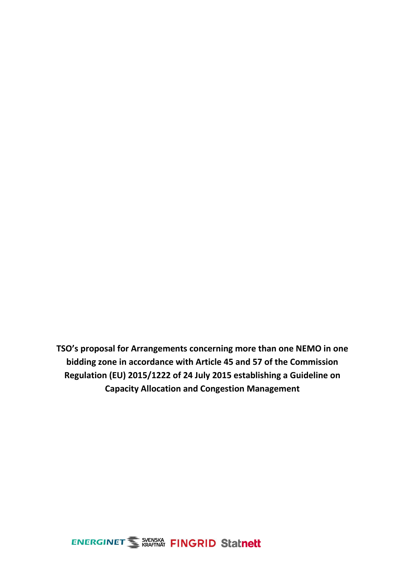**TSO's proposal for Arrangements concerning more than one NEMO in one bidding zone in accordance with Article 45 and 57 of the Commission Regulation (EU) 2015/1222 of 24 July 2015 establishing a Guideline on Capacity Allocation and Congestion Management**

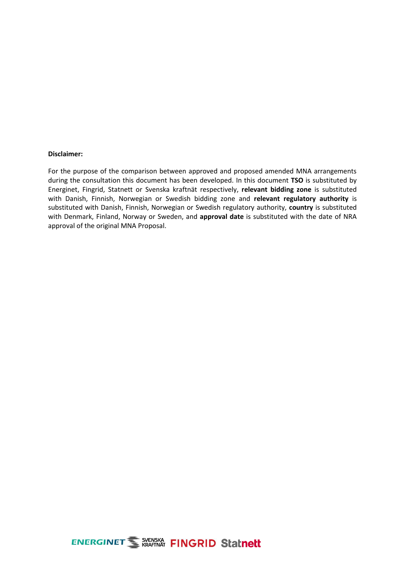#### **Disclaimer:**

For the purpose of the comparison between approved and proposed amended MNA arrangements during the consultation this document has been developed. In this document **TSO** is substituted by Energinet, Fingrid, Statnett or Svenska kraftnät respectively, **relevant bidding zone** is substituted with Danish, Finnish, Norwegian or Swedish bidding zone and **relevant regulatory authority** is substituted with Danish, Finnish, Norwegian or Swedish regulatory authority, **country** is substituted with Denmark, Finland, Norway or Sweden, and **approval date** is substituted with the date of NRA approval of the original MNA Proposal.

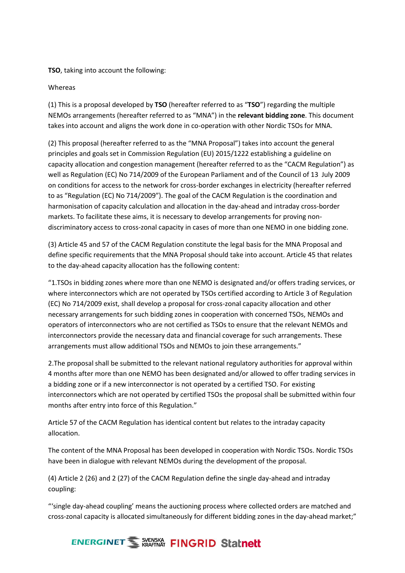### **TSO**, taking into account the following:

### Whereas

(1) This is a proposal developed by **TSO** (hereafter referred to as "**TSO**") regarding the multiple NEMOs arrangements (hereafter referred to as "MNA") in the **relevant bidding zone**. This document takes into account and aligns the work done in co-operation with other Nordic TSOs for MNA.

(2) This proposal (hereafter referred to as the "MNA Proposal") takes into account the general principles and goals set in Commission Regulation (EU) 2015/1222 establishing a guideline on capacity allocation and congestion management (hereafter referred to as the "CACM Regulation") as well as Regulation (EC) No 714/2009 of the European Parliament and of the Council of 13 July 2009 on conditions for access to the network for cross-border exchanges in electricity (hereafter referred to as "Regulation (EC) No 714/2009"). The goal of the CACM Regulation is the coordination and harmonisation of capacity calculation and allocation in the day-ahead and intraday cross-border markets. To facilitate these aims, it is necessary to develop arrangements for proving nondiscriminatory access to cross-zonal capacity in cases of more than one NEMO in one bidding zone.

(3) Article 45 and 57 of the CACM Regulation constitute the legal basis for the MNA Proposal and define specific requirements that the MNA Proposal should take into account. Article 45 that relates to the day-ahead capacity allocation has the following content:

"1.TSOs in bidding zones where more than one NEMO is designated and/or offers trading services, or where interconnectors which are not operated by TSOs certified according to Article 3 of Regulation (EC) No 714/2009 exist, shall develop a proposal for cross-zonal capacity allocation and other necessary arrangements for such bidding zones in cooperation with concerned TSOs, NEMOs and operators of interconnectors who are not certified as TSOs to ensure that the relevant NEMOs and interconnectors provide the necessary data and financial coverage for such arrangements. These arrangements must allow additional TSOs and NEMOs to join these arrangements."

2.The proposal shall be submitted to the relevant national regulatory authorities for approval within 4 months after more than one NEMO has been designated and/or allowed to offer trading services in a bidding zone or if a new interconnector is not operated by a certified TSO. For existing interconnectors which are not operated by certified TSOs the proposal shall be submitted within four months after entry into force of this Regulation."

Article 57 of the CACM Regulation has identical content but relates to the intraday capacity allocation.

The content of the MNA Proposal has been developed in cooperation with Nordic TSOs. Nordic TSOs have been in dialogue with relevant NEMOs during the development of the proposal.

(4) Article 2 (26) and 2 (27) of the CACM Regulation define the single day-ahead and intraday coupling:

"'single day-ahead coupling' means the auctioning process where collected orders are matched and cross-zonal capacity is allocated simultaneously for different bidding zones in the day-ahead market;"

# **ENERGINET SUENSIKA FINGRID Statnett**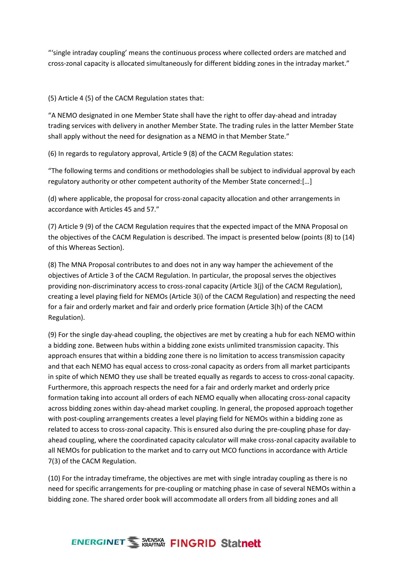"'single intraday coupling' means the continuous process where collected orders are matched and cross-zonal capacity is allocated simultaneously for different bidding zones in the intraday market."

(5) Article 4 (5) of the CACM Regulation states that:

"A NEMO designated in one Member State shall have the right to offer day-ahead and intraday trading services with delivery in another Member State. The trading rules in the latter Member State shall apply without the need for designation as a NEMO in that Member State."

(6) In regards to regulatory approval, Article 9 (8) of the CACM Regulation states:

"The following terms and conditions or methodologies shall be subject to individual approval by each regulatory authority or other competent authority of the Member State concerned:[…]

(d) where applicable, the proposal for cross-zonal capacity allocation and other arrangements in accordance with Articles 45 and 57."

(7) Article 9 (9) of the CACM Regulation requires that the expected impact of the MNA Proposal on the objectives of the CACM Regulation is described. The impact is presented below (points (8) to (14) of this Whereas Section).

(8) The MNA Proposal contributes to and does not in any way hamper the achievement of the objectives of Article 3 of the CACM Regulation. In particular, the proposal serves the objectives providing non-discriminatory access to cross-zonal capacity (Article 3(j) of the CACM Regulation), creating a level playing field for NEMOs (Article 3(i) of the CACM Regulation) and respecting the need for a fair and orderly market and fair and orderly price formation (Article 3(h) of the CACM Regulation).

(9) For the single day-ahead coupling, the objectives are met by creating a hub for each NEMO within a bidding zone. Between hubs within a bidding zone exists unlimited transmission capacity. This approach ensures that within a bidding zone there is no limitation to access transmission capacity and that each NEMO has equal access to cross-zonal capacity as orders from all market participants in spite of which NEMO they use shall be treated equally as regards to access to cross-zonal capacity. Furthermore, this approach respects the need for a fair and orderly market and orderly price formation taking into account all orders of each NEMO equally when allocating cross-zonal capacity across bidding zones within day-ahead market coupling. In general, the proposed approach together with post-coupling arrangements creates a level playing field for NEMOs within a bidding zone as related to access to cross-zonal capacity. This is ensured also during the pre-coupling phase for dayahead coupling, where the coordinated capacity calculator will make cross-zonal capacity available to all NEMOs for publication to the market and to carry out MCO functions in accordance with Article 7(3) of the CACM Regulation.

(10) For the intraday timeframe, the objectives are met with single intraday coupling as there is no need for specific arrangements for pre-coupling or matching phase in case of several NEMOs within a bidding zone. The shared order book will accommodate all orders from all bidding zones and all

# **ENERGINET WEARY FINGRID Statnett**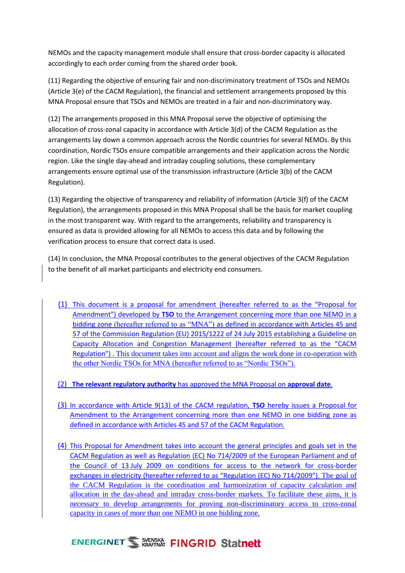NEMOs and the capacity management module shall ensure that cross-border capacity is allocated accordingly to each order coming from the shared order book.

(11) Regarding the objective of ensuring fair and non-discriminatory treatment of TSOs and NEMOs (Article 3(e) of the CACM Regulation), the financial and settlement arrangements proposed by this MNA Proposal ensure that TSOs and NEMOs are treated in a fair and non-discriminatory way.

(12) The arrangements proposed in this MNA Proposal serve the objective of optimising the allocation of cross-zonal capacity in accordance with Article 3(d) of the CACM Regulation as the arrangements lay down a common approach across the Nordic countries for several NEMOs. By this coordination, Nordic TSOs ensure compatible arrangements and their application across the Nordic region. Like the single day-ahead and intraday coupling solutions, these complementary arrangements ensure optimal use of the transmission infrastructure (Article 3(b) of the CACM Regulation).

(13) Regarding the objective of transparency and reliability of information (Article 3(f) of the CACM Regulation), the arrangements proposed in this MNA Proposal shall be the basis for market coupling in the most transparent way. With regard to the arrangements, reliability and transparency is ensured as data is provided allowing for all NEMOs to access this data and by following the verification process to ensure that correct data is used.

(14) In conclusion, the MNA Proposal contributes to the general objectives of the CACM Regulation to the benefit of all market participants and electricity end consumers.

- (1) This document is a proposal for amendment (hereafter referred to as the "Proposal for Amendment") developed by **TSO** to the Arrangement concerning more than one NEMO in a bidding zone (hereafter referred to as "MNA") as defined in accordance with Articles 45 and 57 of the Commission Regulation (EU) 2015/1222 of 24 July 2015 establishing a Guideline on Capacity Allocation and Congestion Management (hereafter referred to as the "CACM Regulation") . This document takes into account and aligns the work done in co-operation with the other Nordic TSOs for MNA (hereafter referred to as "Nordic TSOs").
- (2) **The relevant regulatory authority** has approved the MNA Proposal on **approval date**.
- (3) In accordance with Article 9(13) of the CACM regulation, **TSO** hereby issues a Proposal for Amendment to the Arrangement concerning more than one NEMO in one bidding zone as defined in accordance with Articles 45 and 57 of the CACM Regulation.
- (4) This Proposal for Amendment takes into account the general principles and goals set in the CACM Regulation as well as Regulation (EC) No 714/2009 of the European Parliament and of the Council of 13 July 2009 on conditions for access to the network for cross-border exchanges in electricity (hereafter referred to as "Regulation (EC) No 714/2009"). The goal of the CACM Regulation is the coordination and harmonization of capacity calculation and allocation in the day-ahead and intraday cross-border markets. To facilitate these aims, it is necessary to develop arrangements for proving non-discriminatory access to cross-zonal capacity in cases of more than one NEMO in one bidding zone.

# **ENERGINET WERKS FINGRID Statnett**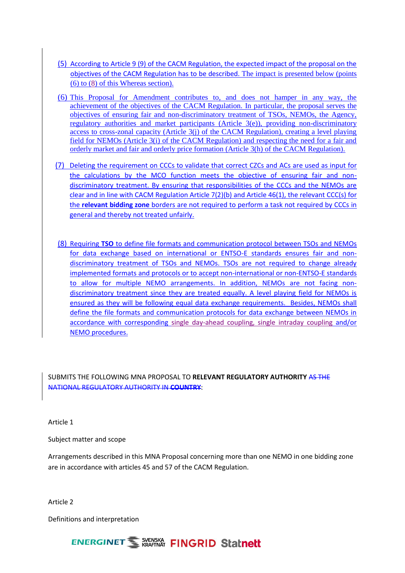- (5) According to Article 9 (9) of the CACM Regulation, the expected impact of the proposal on the objectives of the CACM Regulation has to be described. The impact is presented below (points (6) to (8) of this Whereas section).
- (6) This Proposal for Amendment contributes to, and does not hamper in any way, the achievement of the objectives of the CACM Regulation. In particular, the proposal serves the objectives of ensuring fair and non-discriminatory treatment of TSOs, NEMOs, the Agency, regulatory authorities and market participants (Article 3(e)), providing non-discriminatory access to cross-zonal capacity (Article  $3(i)$  of the CACM Regulation), creating a level playing field for NEMOs (Article 3(i) of the CACM Regulation) and respecting the need for a fair and orderly market and fair and orderly price formation (Article 3(h) of the CACM Regulation).
- (7) Deleting the requirement on CCCs to validate that correct CZCs and ACs are used as input for the calculations by the MCO function meets the objective of ensuring fair and nondiscriminatory treatment. By ensuring that responsibilities of the CCCs and the NEMOs are clear and in line with CACM Regulation Article 7(2)(b) and Article 46(1), the relevant CCC(s) for the **relevant bidding zone** borders are not required to perform a task not required by CCCs in general and thereby not treated unfairly.
- (8) Requiring **TSO** to define file formats and communication protocol between TSOs and NEMOs for data exchange based on international or ENTSO-E standards ensures fair and nondiscriminatory treatment of TSOs and NEMOs. TSOs are not required to change already implemented formats and protocols or to accept non-international or non-ENTSO-E standards to allow for multiple NEMO arrangements. In addition, NEMOs are not facing nondiscriminatory treatment since they are treated equally. A level playing field for NEMOs is ensured as they will be following equal data exchange requirements. Besides, NEMOs shall define the file formats and communication protocols for data exchange between NEMOs in accordance with corresponding single day-ahead coupling, single intraday coupling and/or NEMO procedures.

SUBMITS THE FOLLOWING MNA PROPOSAL TO **RELEVANT REGULATORY AUTHORITY** AS THE NATIONAL REGULATORY AUTHORITY IN **COUNTRY**:

Article 1

Subject matter and scope

Arrangements described in this MNA Proposal concerning more than one NEMO in one bidding zone are in accordance with articles 45 and 57 of the CACM Regulation.

Article 2

Definitions and interpretation

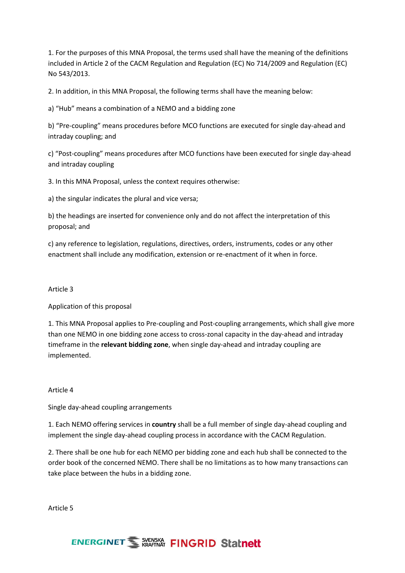1. For the purposes of this MNA Proposal, the terms used shall have the meaning of the definitions included in Article 2 of the CACM Regulation and Regulation (EC) No 714/2009 and Regulation (EC) No 543/2013.

2. In addition, in this MNA Proposal, the following terms shall have the meaning below:

a) "Hub" means a combination of a NEMO and a bidding zone

b) "Pre-coupling" means procedures before MCO functions are executed for single day-ahead and intraday coupling; and

c) "Post-coupling" means procedures after MCO functions have been executed for single day-ahead and intraday coupling

3. In this MNA Proposal, unless the context requires otherwise:

a) the singular indicates the plural and vice versa;

b) the headings are inserted for convenience only and do not affect the interpretation of this proposal; and

c) any reference to legislation, regulations, directives, orders, instruments, codes or any other enactment shall include any modification, extension or re-enactment of it when in force.

### Article 3

Application of this proposal

1. This MNA Proposal applies to Pre-coupling and Post-coupling arrangements, which shall give more than one NEMO in one bidding zone access to cross-zonal capacity in the day-ahead and intraday timeframe in the **relevant bidding zone**, when single day-ahead and intraday coupling are implemented.

### Article 4

Single day-ahead coupling arrangements

1. Each NEMO offering services in **country** shall be a full member of single day-ahead coupling and implement the single day-ahead coupling process in accordance with the CACM Regulation.

2. There shall be one hub for each NEMO per bidding zone and each hub shall be connected to the order book of the concerned NEMO. There shall be no limitations as to how many transactions can take place between the hubs in a bidding zone.

Article 5

# **ENERGINET WERKS FINGRID Statnett**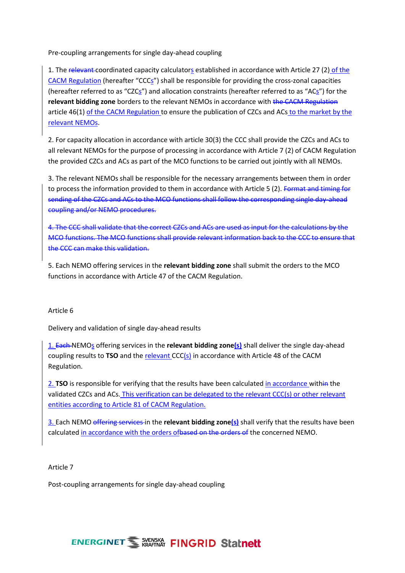Pre-coupling arrangements for single day-ahead coupling

1. The relevant coordinated capacity calculators established in accordance with Article 27 (2) of the CACM Regulation (hereafter "CCCs") shall be responsible for providing the cross-zonal capacities (hereafter referred to as "CZCs") and allocation constraints (hereafter referred to as "ACs") for the **relevant bidding zone** borders to the relevant NEMOs in accordance with the CACM Regulation article 46(1) of the CACM Regulation to ensure the publication of CZCs and ACs to the market by the relevant NEMOs.

2. For capacity allocation in accordance with article 30(3) the CCC shall provide the CZCs and ACs to all relevant NEMOs for the purpose of processing in accordance with Article 7 (2) of CACM Regulation the provided CZCs and ACs as part of the MCO functions to be carried out jointly with all NEMOs.

3. The relevant NEMOs shall be responsible for the necessary arrangements between them in order to process the information provided to them in accordance with Article 5 (2). Format and timing for sending of the CZCs and ACs to the MCO functions shall follow the corresponding single day-ahead coupling and/or NEMO procedures.

4. The CCC shall validate that the correct CZCs and ACs are used as input for the calculations by the MCO functions. The MCO functions shall provide relevant information back to the CCC to ensure that the CCC can make this validation.

5. Each NEMO offering services in the **relevant bidding zone** shall submit the orders to the MCO functions in accordance with Article 47 of the CACM Regulation.

### Article 6

Delivery and validation of single day-ahead results

1. Each NEMOs offering services in the **relevant bidding zone(s)** shall deliver the single day-ahead coupling results to **TSO** and the relevant CCC(s) in accordance with Article 48 of the CACM Regulation.

2. **TSO** is responsible for verifying that the results have been calculated in accordance within the validated CZCs and ACs. This verification can be delegated to the relevant CCC(s) or other relevant entities according to Article 81 of CACM Regulation.

3. Each NEMO offering services in the **relevant bidding zone(s)** shall verify that the results have been calculated in accordance with the orders of based on the orders of the concerned NEMO.

#### Article 7

Post-coupling arrangements for single day-ahead coupling

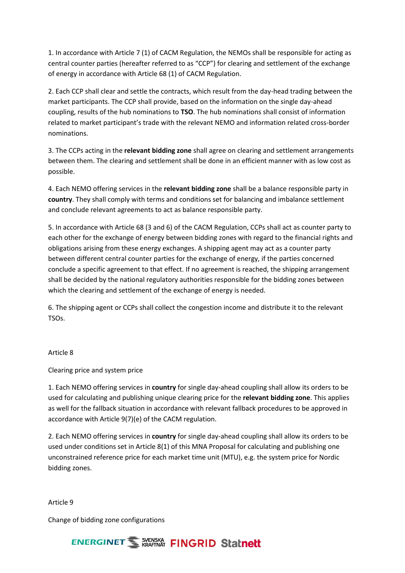1. In accordance with Article 7 (1) of CACM Regulation, the NEMOs shall be responsible for acting as central counter parties (hereafter referred to as "CCP") for clearing and settlement of the exchange of energy in accordance with Article 68 (1) of CACM Regulation.

2. Each CCP shall clear and settle the contracts, which result from the day-head trading between the market participants. The CCP shall provide, based on the information on the single day-ahead coupling, results of the hub nominations to **TSO**. The hub nominations shall consist of information related to market participant's trade with the relevant NEMO and information related cross-border nominations.

3. The CCPs acting in the **relevant bidding zone** shall agree on clearing and settlement arrangements between them. The clearing and settlement shall be done in an efficient manner with as low cost as possible.

4. Each NEMO offering services in the **relevant bidding zone** shall be a balance responsible party in **country**. They shall comply with terms and conditions set for balancing and imbalance settlement and conclude relevant agreements to act as balance responsible party.

5. In accordance with Article 68 (3 and 6) of the CACM Regulation, CCPs shall act as counter party to each other for the exchange of energy between bidding zones with regard to the financial rights and obligations arising from these energy exchanges. A shipping agent may act as a counter party between different central counter parties for the exchange of energy, if the parties concerned conclude a specific agreement to that effect. If no agreement is reached, the shipping arrangement shall be decided by the national regulatory authorities responsible for the bidding zones between which the clearing and settlement of the exchange of energy is needed.

6. The shipping agent or CCPs shall collect the congestion income and distribute it to the relevant TSOs.

### Article 8

Clearing price and system price

1. Each NEMO offering services in **country** for single day-ahead coupling shall allow its orders to be used for calculating and publishing unique clearing price for the **relevant bidding zone**. This applies as well for the fallback situation in accordance with relevant fallback procedures to be approved in accordance with Article 9(7)(e) of the CACM regulation.

2. Each NEMO offering services in **country** for single day-ahead coupling shall allow its orders to be used under conditions set in Article 8(1) of this MNA Proposal for calculating and publishing one unconstrained reference price for each market time unit (MTU), e.g. the system price for Nordic bidding zones.

Article 9

Change of bidding zone configurations

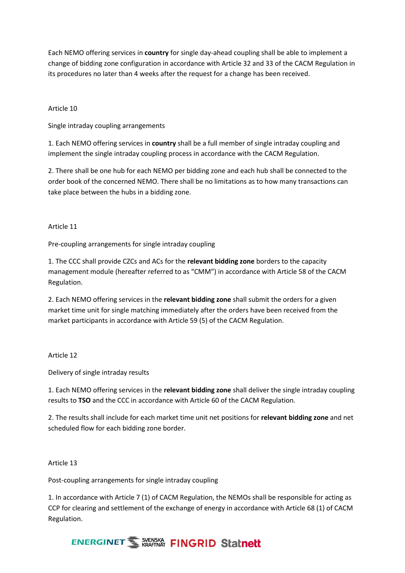Each NEMO offering services in **country** for single day-ahead coupling shall be able to implement a change of bidding zone configuration in accordance with Article 32 and 33 of the CACM Regulation in its procedures no later than 4 weeks after the request for a change has been received.

### Article 10

Single intraday coupling arrangements

1. Each NEMO offering services in **country** shall be a full member of single intraday coupling and implement the single intraday coupling process in accordance with the CACM Regulation.

2. There shall be one hub for each NEMO per bidding zone and each hub shall be connected to the order book of the concerned NEMO. There shall be no limitations as to how many transactions can take place between the hubs in a bidding zone.

### Article 11

Pre-coupling arrangements for single intraday coupling

1. The CCC shall provide CZCs and ACs for the **relevant bidding zone** borders to the capacity management module (hereafter referred to as "CMM") in accordance with Article 58 of the CACM Regulation.

2. Each NEMO offering services in the **relevant bidding zone** shall submit the orders for a given market time unit for single matching immediately after the orders have been received from the market participants in accordance with Article 59 (5) of the CACM Regulation.

### Article 12

Delivery of single intraday results

1. Each NEMO offering services in the **relevant bidding zone** shall deliver the single intraday coupling results to **TSO** and the CCC in accordance with Article 60 of the CACM Regulation.

2. The results shall include for each market time unit net positions for **relevant bidding zone** and net scheduled flow for each bidding zone border.

### Article 13

Post-coupling arrangements for single intraday coupling

1. In accordance with Article 7 (1) of CACM Regulation, the NEMOs shall be responsible for acting as CCP for clearing and settlement of the exchange of energy in accordance with Article 68 (1) of CACM Regulation.

# **ENERGINET WERKSHIP FINGRID Statnett**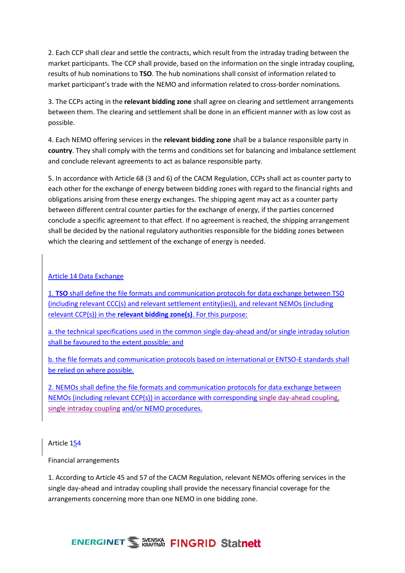2. Each CCP shall clear and settle the contracts, which result from the intraday trading between the market participants. The CCP shall provide, based on the information on the single intraday coupling, results of hub nominations to **TSO**. The hub nominations shall consist of information related to market participant's trade with the NEMO and information related to cross-border nominations.

3. The CCPs acting in the **relevant bidding zone** shall agree on clearing and settlement arrangements between them. The clearing and settlement shall be done in an efficient manner with as low cost as possible.

4. Each NEMO offering services in the **relevant bidding zone** shall be a balance responsible party in **country**. They shall comply with the terms and conditions set for balancing and imbalance settlement and conclude relevant agreements to act as balance responsible party.

5. In accordance with Article 68 (3 and 6) of the CACM Regulation, CCPs shall act as counter party to each other for the exchange of energy between bidding zones with regard to the financial rights and obligations arising from these energy exchanges. The shipping agent may act as a counter party between different central counter parties for the exchange of energy, if the parties concerned conclude a specific agreement to that effect. If no agreement is reached, the shipping arrangement shall be decided by the national regulatory authorities responsible for the bidding zones between which the clearing and settlement of the exchange of energy is needed.

### Article 14 Data Exchange

1. **TSO** shall define the file formats and communication protocols for data exchange between TSO (including relevant CCC(s) and relevant settlement entity(ies)), and relevant NEMOs (including relevant CCP(s)) in the **relevant bidding zone(s)**. For this purpose:

a. the technical specifications used in the common single day-ahead and/or single intraday solution shall be favoured to the extent possible; and

b. the file formats and communication protocols based on international or ENTSO-E standards shall be relied on where possible.

2. NEMOs shall define the file formats and communication protocols for data exchange between NEMOs (including relevant CCP(s)) in accordance with corresponding single day-ahead coupling, single intraday coupling and/or NEMO procedures.

### Article 154

### Financial arrangements

1. According to Article 45 and 57 of the CACM Regulation, relevant NEMOs offering services in the single day-ahead and intraday coupling shall provide the necessary financial coverage for the arrangements concerning more than one NEMO in one bidding zone.

# **ENERGINET WERKS FINGRID Statnett**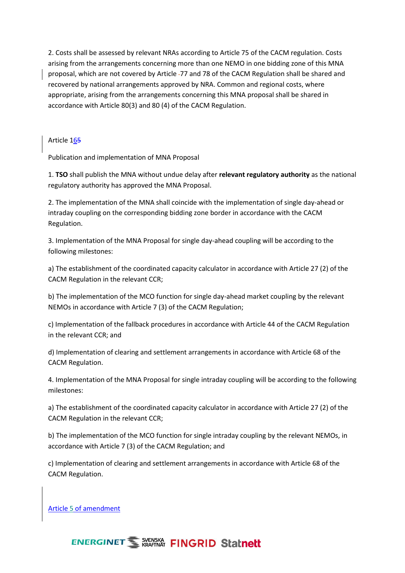2. Costs shall be assessed by relevant NRAs according to Article 75 of the CACM regulation. Costs arising from the arrangements concerning more than one NEMO in one bidding zone of this MNA proposal, which are not covered by Article 77 and 78 of the CACM Regulation shall be shared and recovered by national arrangements approved by NRA. Common and regional costs, where appropriate, arising from the arrangements concerning this MNA proposal shall be shared in accordance with Article 80(3) and 80 (4) of the CACM Regulation.

Article 165

Publication and implementation of MNA Proposal

1. **TSO** shall publish the MNA without undue delay after **relevant regulatory authority** as the national regulatory authority has approved the MNA Proposal.

2. The implementation of the MNA shall coincide with the implementation of single day-ahead or intraday coupling on the corresponding bidding zone border in accordance with the CACM Regulation.

3. Implementation of the MNA Proposal for single day-ahead coupling will be according to the following milestones:

a) The establishment of the coordinated capacity calculator in accordance with Article 27 (2) of the CACM Regulation in the relevant CCR;

b) The implementation of the MCO function for single day-ahead market coupling by the relevant NEMOs in accordance with Article 7 (3) of the CACM Regulation;

c) Implementation of the fallback procedures in accordance with Article 44 of the CACM Regulation in the relevant CCR; and

d) Implementation of clearing and settlement arrangements in accordance with Article 68 of the CACM Regulation.

4. Implementation of the MNA Proposal for single intraday coupling will be according to the following milestones:

a) The establishment of the coordinated capacity calculator in accordance with Article 27 (2) of the CACM Regulation in the relevant CCR;

b) The implementation of the MCO function for single intraday coupling by the relevant NEMOs, in accordance with Article 7 (3) of the CACM Regulation; and

c) Implementation of clearing and settlement arrangements in accordance with Article 68 of the CACM Regulation.

Article 5 of amendment

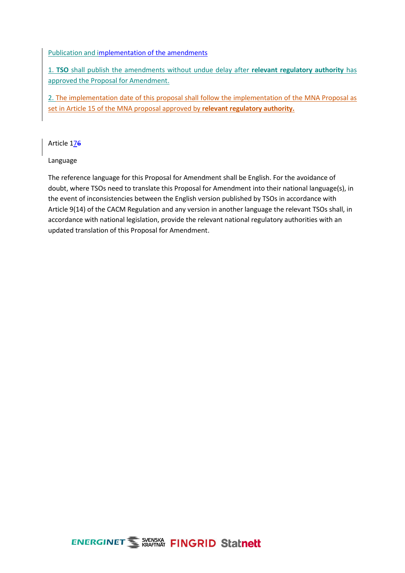### Publication and implementation of the amendments

1. **TSO** shall publish the amendments without undue delay after **relevant regulatory authority** has approved the Proposal for Amendment.

2. The implementation date of this proposal shall follow the implementation of the MNA Proposal as set in Article 15 of the MNA proposal approved by **relevant regulatory authority.** 

Article 176

Language

The reference language for this Proposal for Amendment shall be English. For the avoidance of doubt, where TSOs need to translate this Proposal for Amendment into their national language(s), in the event of inconsistencies between the English version published by TSOs in accordance with Article 9(14) of the CACM Regulation and any version in another language the relevant TSOs shall, in accordance with national legislation, provide the relevant national regulatory authorities with an updated translation of this Proposal for Amendment.